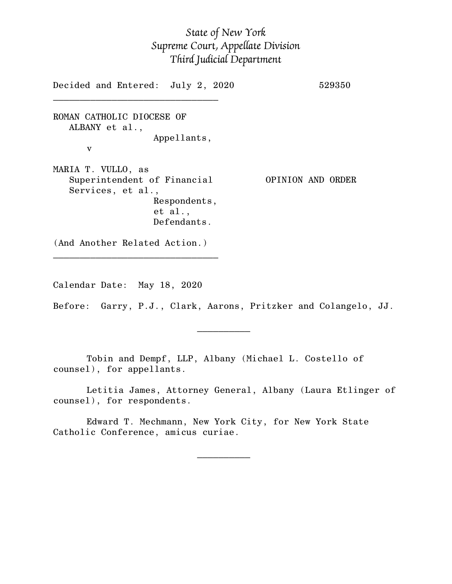## *State of New York Supreme Court, Appellate Division Third Judicial Department*

Decided and Entered: July 2, 2020 529350  $\mathcal{L}_\text{max}$ ROMAN CATHOLIC DIOCESE OF ALBANY et al., Appellants, v MARIA T. VULLO, as Superintendent of Financial OPINION AND ORDER Services, et al., Respondents, et al., Defendants. (And Another Related Action.) \_\_\_\_\_\_\_\_\_\_\_\_\_\_\_\_\_\_\_\_\_\_\_\_\_\_\_\_\_\_\_

Calendar Date: May 18, 2020

 $\mathcal{L}_\text{max}$  and  $\mathcal{L}_\text{max}$  are the set of  $\mathcal{L}_\text{max}$  . The set of  $\mathcal{L}_\text{max}$ 

 $\mathcal{L}_\text{max}$  and  $\mathcal{L}_\text{max}$  are the set of  $\mathcal{L}_\text{max}$  . The set of  $\mathcal{L}_\text{max}$ 

Before: Garry, P.J., Clark, Aarons, Pritzker and Colangelo, JJ.

Tobin and Dempf, LLP, Albany (Michael L. Costello of counsel), for appellants.

Letitia James, Attorney General, Albany (Laura Etlinger of counsel), for respondents.

Edward T. Mechmann, New York City, for New York State Catholic Conference, amicus curiae.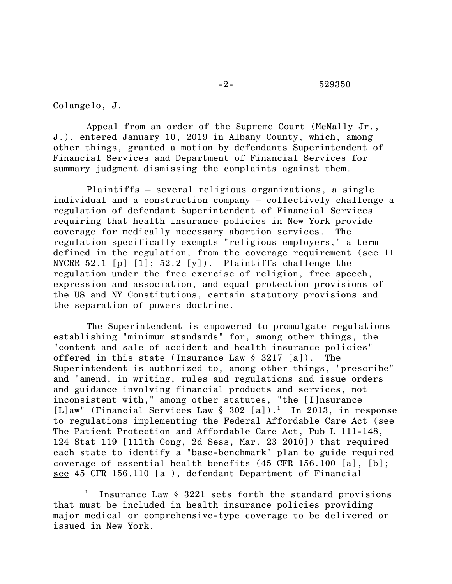## -2- 529350

Colangelo, J.

Appeal from an order of the Supreme Court (McNally Jr., J.), entered January 10, 2019 in Albany County, which, among other things, granted a motion by defendants Superintendent of Financial Services and Department of Financial Services for summary judgment dismissing the complaints against them.

Plaintiffs – several religious organizations, a single individual and a construction company – collectively challenge a regulation of defendant Superintendent of Financial Services requiring that health insurance policies in New York provide coverage for medically necessary abortion services. The regulation specifically exempts "religious employers," a term defined in the regulation, from the coverage requirement (see 11 NYCRR  $52.1$  [p]  $[1]$ ;  $52.2$  [y]). Plaintiffs challenge the regulation under the free exercise of religion, free speech, expression and association, and equal protection provisions of the US and NY Constitutions, certain statutory provisions and the separation of powers doctrine.

The Superintendent is empowered to promulgate regulations establishing "minimum standards" for, among other things, the "content and sale of accident and health insurance policies" offered in this state (Insurance Law § 3217 [a]). The Superintendent is authorized to, among other things, "prescribe" and "amend, in writing, rules and regulations and issue orders and guidance involving financial products and services, not inconsistent with," among other statutes, "the [I]nsurance [L]aw" (Financial Services Law § 302 [a]). <sup>1</sup> In 2013, in response to regulations implementing the Federal Affordable Care Act (see The Patient Protection and Affordable Care Act, Pub L 111-148, 124 Stat 119 [111th Cong, 2d Sess, Mar. 23 2010]) that required each state to identify a "base-benchmark" plan to guide required coverage of essential health benefits (45 CFR 156.100 [a], [b]; see 45 CFR 156.110 [a]), defendant Department of Financial

<sup>1</sup> Insurance Law § 3221 sets forth the standard provisions that must be included in health insurance policies providing major medical or comprehensive-type coverage to be delivered or issued in New York.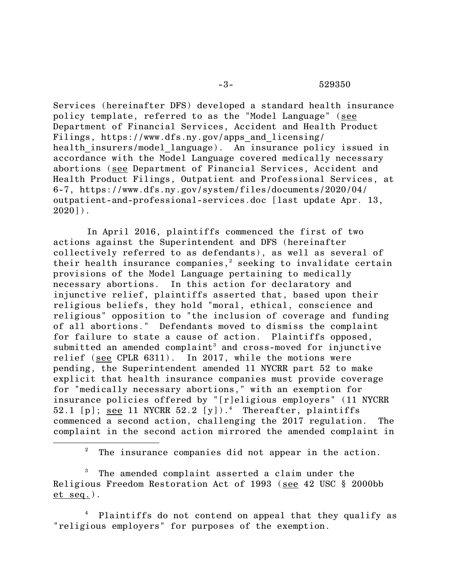Services (hereinafter DFS) developed a standard health insurance policy template, referred to as the "Model Language" (see Department of Financial Services, Accident and Health Product Filings, https://www.dfs.ny.gov/apps\_and\_licensing/ health insurers/model language). An insurance policy issued in accordance with the Model Language covered medically necessary abortions (see Department of Financial Services, Accident and Health Product Filings, Outpatient and Professional Services, at 6-7, https://www.dfs.ny.gov/system/files/documents/2020/04/ outpatient-and-professional-services.doc [last update Apr. 13, 2020]).

In April 2016, plaintiffs commenced the first of two actions against the Superintendent and DFS (hereinafter collectively referred to as defendants), as well as several of their health insurance companies,<sup>2</sup> seeking to invalidate certain provisions of the Model Language pertaining to medically necessary abortions. In this action for declaratory and injunctive relief, plaintiffs asserted that, based upon their religious beliefs, they hold "moral, ethical, conscience and religious" opposition to "the inclusion of coverage and funding of all abortions." Defendants moved to dismiss the complaint for failure to state a cause of action. Plaintiffs opposed, submitted an amended complaint<sup>3</sup> and cross-moved for injunctive relief (see CPLR 6311). In 2017, while the motions were pending, the Superintendent amended 11 NYCRR part 52 to make explicit that health insurance companies must provide coverage for "medically necessary abortions," with an exemption for insurance policies offered by "[r]eligious employers" (11 NYCRR 52.1 [p]; see 11 NYCRR 52.2 [y]).<sup>4</sup> Thereafter, plaintiffs commenced a second action, challenging the 2017 regulation. The complaint in the second action mirrored the amended complaint in

<sup>2</sup> The insurance companies did not appear in the action.

<sup>3</sup> The amended complaint asserted a claim under the Religious Freedom Restoration Act of 1993 (see 42 USC § 2000bb et seq.).

<sup>4</sup> Plaintiffs do not contend on appeal that they qualify as "religious employers" for purposes of the exemption.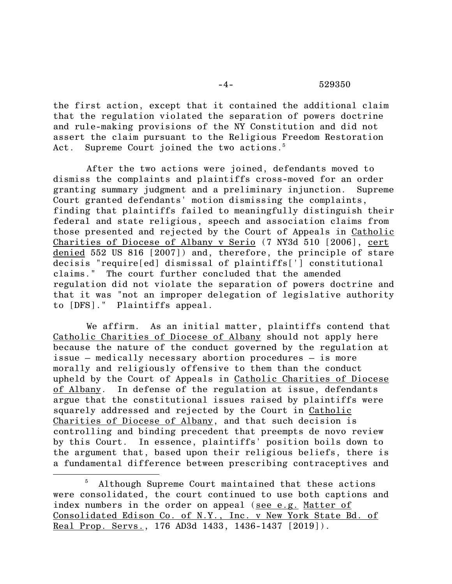the first action, except that it contained the additional claim that the regulation violated the separation of powers doctrine and rule-making provisions of the NY Constitution and did not assert the claim pursuant to the Religious Freedom Restoration Act. Supreme Court joined the two actions. $^5$ 

After the two actions were joined, defendants moved to dismiss the complaints and plaintiffs cross-moved for an order granting summary judgment and a preliminary injunction. Supreme Court granted defendants' motion dismissing the complaints, finding that plaintiffs failed to meaningfully distinguish their federal and state religious, speech and association claims from those presented and rejected by the Court of Appeals in Catholic Charities of Diocese of Albany v Serio (7 NY3d 510 [2006], cert denied 552 US 816 [2007]) and, therefore, the principle of stare decisis "require[ed] dismissal of plaintiffs['] constitutional claims." The court further concluded that the amended regulation did not violate the separation of powers doctrine and that it was "not an improper delegation of legislative authority to [DFS]." Plaintiffs appeal.

We affirm. As an initial matter, plaintiffs contend that Catholic Charities of Diocese of Albany should not apply here because the nature of the conduct governed by the regulation at issue – medically necessary abortion procedures – is more morally and religiously offensive to them than the conduct upheld by the Court of Appeals in Catholic Charities of Diocese of Albany. In defense of the regulation at issue, defendants argue that the constitutional issues raised by plaintiffs were squarely addressed and rejected by the Court in Catholic Charities of Diocese of Albany, and that such decision is controlling and binding precedent that preempts de novo review by this Court. In essence, plaintiffs' position boils down to the argument that, based upon their religious beliefs, there is a fundamental difference between prescribing contraceptives and

<sup>5</sup> Although Supreme Court maintained that these actions were consolidated, the court continued to use both captions and index numbers in the order on appeal (see e.g. Matter of Consolidated Edison Co. of N.Y., Inc. v New York State Bd. of Real Prop. Servs., 176 AD3d 1433, 1436-1437 [2019]).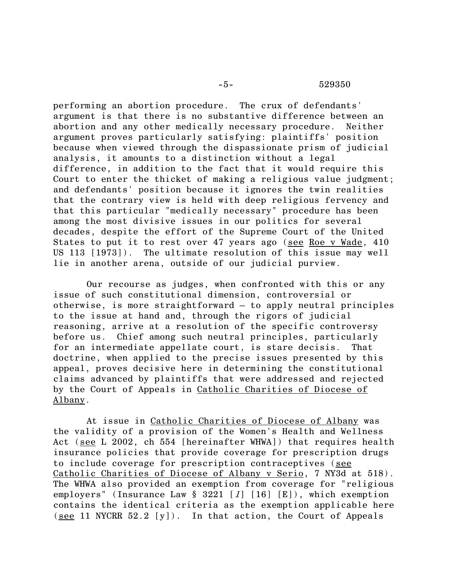performing an abortion procedure. The crux of defendants' argument is that there is no substantive difference between an abortion and any other medically necessary procedure. Neither argument proves particularly satisfying: plaintiffs' position because when viewed through the dispassionate prism of judicial analysis, it amounts to a distinction without a legal difference, in addition to the fact that it would require this Court to enter the thicket of making a religious value judgment; and defendants' position because it ignores the twin realities that the contrary view is held with deep religious fervency and that this particular "medically necessary" procedure has been among the most divisive issues in our politics for several decades, despite the effort of the Supreme Court of the United States to put it to rest over 47 years ago (see Roe v Wade, 410 US 113 [1973]). The ultimate resolution of this issue may well lie in another arena, outside of our judicial purview.

Our recourse as judges, when confronted with this or any issue of such constitutional dimension, controversial or otherwise, is more straightforward — to apply neutral principles to the issue at hand and, through the rigors of judicial reasoning, arrive at a resolution of the specific controversy before us. Chief among such neutral principles, particularly for an intermediate appellate court, is stare decisis. That doctrine, when applied to the precise issues presented by this appeal, proves decisive here in determining the constitutional claims advanced by plaintiffs that were addressed and rejected by the Court of Appeals in Catholic Charities of Diocese of Albany.

At issue in Catholic Charities of Diocese of Albany was the validity of a provision of the Women's Health and Wellness Act (see L 2002, ch 554 [hereinafter WHWA]) that requires health insurance policies that provide coverage for prescription drugs to include coverage for prescription contraceptives (see Catholic Charities of Diocese of Albany v Serio, 7 NY3d at 518). The WHWA also provided an exemption from coverage for "religious employers" (Insurance Law  $\S$  3221 [1] [16] [E]), which exemption contains the identical criteria as the exemption applicable here (see 11 NYCRR  $52.2$  [y]). In that action, the Court of Appeals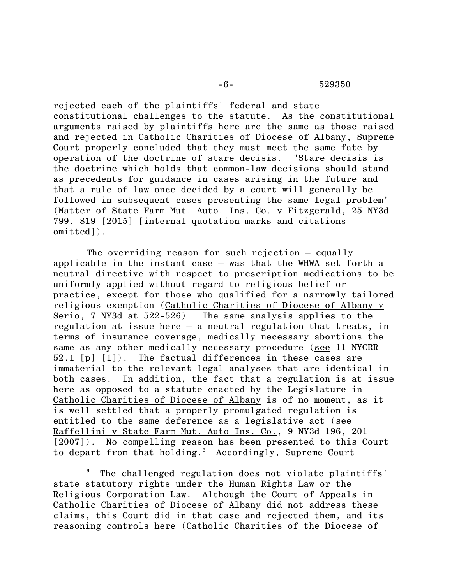rejected each of the plaintiffs' federal and state constitutional challenges to the statute. As the constitutional arguments raised by plaintiffs here are the same as those raised and rejected in Catholic Charities of Diocese of Albany, Supreme Court properly concluded that they must meet the same fate by operation of the doctrine of stare decisis. "Stare decisis is the doctrine which holds that common-law decisions should stand as precedents for guidance in cases arising in the future and that a rule of law once decided by a court will generally be followed in subsequent cases presenting the same legal problem" (Matter of State Farm Mut. Auto. Ins. Co. v Fitzgerald, 25 NY3d 799, 819 [2015] [internal quotation marks and citations omitted]).

The overriding reason for such rejection – equally applicable in the instant case – was that the WHWA set forth a neutral directive with respect to prescription medications to be uniformly applied without regard to religious belief or practice, except for those who qualified for a narrowly tailored religious exemption (Catholic Charities of Diocese of Albany v Serio, 7 NY3d at 522-526). The same analysis applies to the regulation at issue here – a neutral regulation that treats, in terms of insurance coverage, medically necessary abortions the same as any other medically necessary procedure (see 11 NYCRR 52.1 [p] [1]). The factual differences in these cases are immaterial to the relevant legal analyses that are identical in both cases. In addition, the fact that a regulation is at issue here as opposed to a statute enacted by the Legislature in Catholic Charities of Diocese of Albany is of no moment, as it is well settled that a properly promulgated regulation is entitled to the same deference as a legislative act (see Raffellini v State Farm Mut. Auto Ins. Co., 9 NY3d 196, 201 [2007]). No compelling reason has been presented to this Court to depart from that holding.<sup>6</sup> Accordingly, Supreme Court

 $6$  The challenged regulation does not violate plaintiffs' state statutory rights under the Human Rights Law or the Religious Corporation Law. Although the Court of Appeals in Catholic Charities of Diocese of Albany did not address these claims, this Court did in that case and rejected them, and its reasoning controls here (Catholic Charities of the Diocese of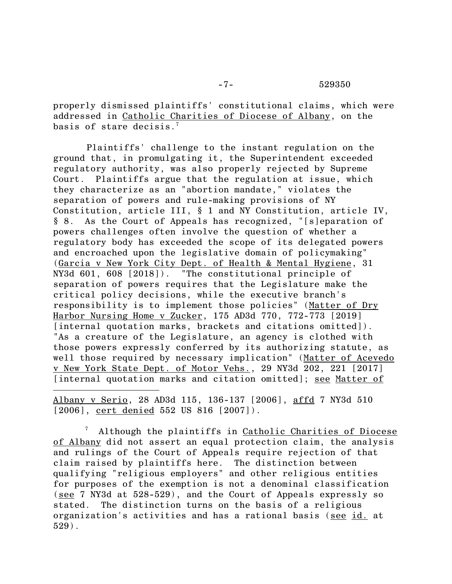properly dismissed plaintiffs' constitutional claims, which were addressed in Catholic Charities of Diocese of Albany, on the basis of stare decisis. 7

Plaintiffs' challenge to the instant regulation on the ground that, in promulgating it, the Superintendent exceeded regulatory authority, was also properly rejected by Supreme Court. Plaintiffs argue that the regulation at issue, which they characterize as an "abortion mandate," violates the separation of powers and rule-making provisions of NY Constitution, article III, § 1 and NY Constitution, article IV, § 8. As the Court of Appeals has recognized, "[s]eparation of powers challenges often involve the question of whether a regulatory body has exceeded the scope of its delegated powers and encroached upon the legislative domain of policymaking" (Garcia v New York City Dept. of Health & Mental Hygiene, 31 NY3d 601, 608 [2018]). "The constitutional principle of separation of powers requires that the Legislature make the critical policy decisions, while the executive branch's responsibility is to implement those policies" (Matter of Dry Harbor Nursing Home v Zucker, 175 AD3d 770, 772-773 [2019] [internal quotation marks, brackets and citations omitted]). "As a creature of the Legislature, an agency is clothed with those powers expressly conferred by its authorizing statute, as well those required by necessary implication" (Matter of Acevedo v New York State Dept. of Motor Vehs., 29 NY3d 202, 221 [2017] [internal quotation marks and citation omitted]; see Matter of

Albany v Serio, 28 AD3d 115, 136-137 [2006], affd 7 NY3d 510 [2006], cert denied 552 US 816 [2007]).

Although the plaintiffs in Catholic Charities of Diocese of Albany did not assert an equal protection claim, the analysis and rulings of the Court of Appeals require rejection of that claim raised by plaintiffs here. The distinction between qualifying "religious employers" and other religious entities for purposes of the exemption is not a denominal classification (see 7 NY3d at 528-529), and the Court of Appeals expressly so stated. The distinction turns on the basis of a religious organization's activities and has a rational basis (see id. at 529).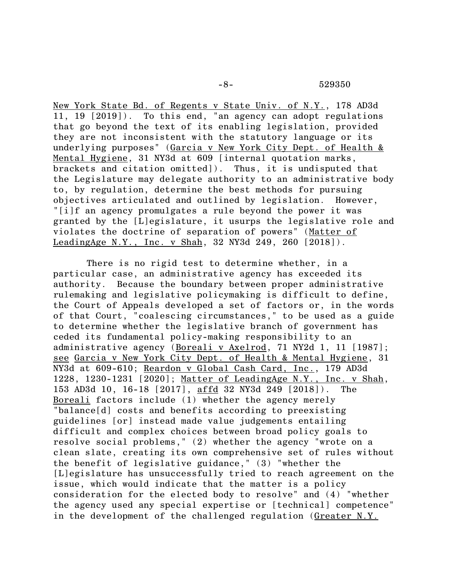New York State Bd. of Regents v State Univ. of N.Y., 178 AD3d 11, 19 [2019]). To this end, "an agency can adopt regulations that go beyond the text of its enabling legislation, provided they are not inconsistent with the statutory language or its underlying purposes" (Garcia v New York City Dept. of Health & Mental Hygiene, 31 NY3d at 609 [internal quotation marks, brackets and citation omitted]). Thus, it is undisputed that the Legislature may delegate authority to an administrative body to, by regulation, determine the best methods for pursuing objectives articulated and outlined by legislation. However, "[i]f an agency promulgates a rule beyond the power it was granted by the [L]egislature, it usurps the legislative role and violates the doctrine of separation of powers" (Matter of LeadingAge N.Y., Inc. v Shah, 32 NY3d 249, 260 [2018]).

There is no rigid test to determine whether, in a particular case, an administrative agency has exceeded its authority. Because the boundary between proper administrative rulemaking and legislative policymaking is difficult to define, the Court of Appeals developed a set of factors or, in the words of that Court, "coalescing circumstances," to be used as a guide to determine whether the legislative branch of government has ceded its fundamental policy-making responsibility to an administrative agency (Boreali v Axelrod, 71 NY2d 1, 11 [1987]; see Garcia v New York City Dept. of Health & Mental Hygiene, 31 NY3d at 609-610; Reardon v Global Cash Card, Inc., 179 AD3d 1228, 1230-1231 [2020]; Matter of LeadingAge N.Y., Inc. v Shah, 153 AD3d 10, 16-18 [2017], affd 32 NY3d 249 [2018]). The Boreali factors include (1) whether the agency merely "balance[d] costs and benefits according to preexisting guidelines [or] instead made value judgements entailing difficult and complex choices between broad policy goals to resolve social problems," (2) whether the agency "wrote on a clean slate, creating its own comprehensive set of rules without the benefit of legislative guidance," (3) "whether the [L]egislature has unsuccessfully tried to reach agreement on the issue, which would indicate that the matter is a policy consideration for the elected body to resolve" and (4) "whether the agency used any special expertise or [technical] competence" in the development of the challenged regulation (Greater N.Y.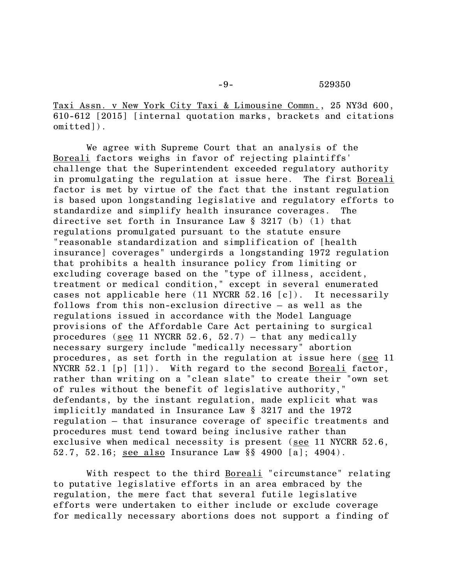Taxi Assn. v New York City Taxi & Limousine Commn., 25 NY3d 600, 610-612 [2015] [internal quotation marks, brackets and citations omitted]).

We agree with Supreme Court that an analysis of the Boreali factors weighs in favor of rejecting plaintiffs' challenge that the Superintendent exceeded regulatory authority in promulgating the regulation at issue here. The first Boreali factor is met by virtue of the fact that the instant regulation is based upon longstanding legislative and regulatory efforts to standardize and simplify health insurance coverages. The directive set forth in Insurance Law § 3217 (b) (1) that regulations promulgated pursuant to the statute ensure "reasonable standardization and simplification of [health insurance] coverages" undergirds a longstanding 1972 regulation that prohibits a health insurance policy from limiting or excluding coverage based on the "type of illness, accident, treatment or medical condition," except in several enumerated cases not applicable here (11 NYCRR 52.16 [c]). It necessarily follows from this non-exclusion directive — as well as the regulations issued in accordance with the Model Language provisions of the Affordable Care Act pertaining to surgical procedures (see 11 NYCRR 52.6, 52.7) - that any medically necessary surgery include "medically necessary" abortion procedures, as set forth in the regulation at issue here (see 11 NYCRR  $52.1$  [p]  $[1]$ ). With regard to the second Boreali factor, rather than writing on a "clean slate" to create their "own set of rules without the benefit of legislative authority," defendants, by the instant regulation, made explicit what was implicitly mandated in Insurance Law § 3217 and the 1972 regulation – that insurance coverage of specific treatments and procedures must tend toward being inclusive rather than exclusive when medical necessity is present (see 11 NYCRR 52.6, 52.7, 52.16; see also Insurance Law §§ 4900 [a]; 4904).

With respect to the third Boreali "circumstance" relating to putative legislative efforts in an area embraced by the regulation, the mere fact that several futile legislative efforts were undertaken to either include or exclude coverage for medically necessary abortions does not support a finding of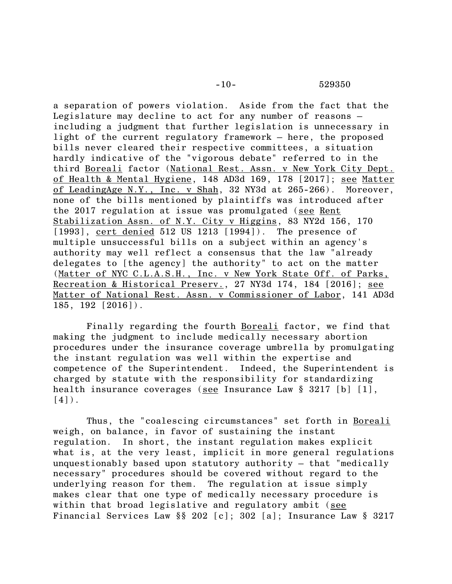a separation of powers violation. Aside from the fact that the Legislature may decline to act for any number of reasons – including a judgment that further legislation is unnecessary in light of the current regulatory framework – here, the proposed bills never cleared their respective committees, a situation hardly indicative of the "vigorous debate" referred to in the third Boreali factor (National Rest. Assn. v New York City Dept. of Health & Mental Hygiene, 148 AD3d 169, 178 [2017]; see Matter of LeadingAge N.Y., Inc. v Shah, 32 NY3d at 265-266). Moreover, none of the bills mentioned by plaintiffs was introduced after the 2017 regulation at issue was promulgated (see Rent Stabilization Assn. of N.Y. City v Higgins, 83 NY2d 156, 170 [1993], cert denied 512 US 1213 [1994]). The presence of multiple unsuccessful bills on a subject within an agency's authority may well reflect a consensus that the law "already delegates to [the agency] the authority" to act on the matter (Matter of NYC C.L.A.S.H., Inc. v New York State Off. of Parks, Recreation & Historical Preserv., 27 NY3d 174, 184 [2016]; see Matter of National Rest. Assn. v Commissioner of Labor, 141 AD3d  $185, 192 [2016]$ .

Finally regarding the fourth Boreali factor, we find that making the judgment to include medically necessary abortion procedures under the insurance coverage umbrella by promulgating the instant regulation was well within the expertise and competence of the Superintendent. Indeed, the Superintendent is charged by statute with the responsibility for standardizing health insurance coverages (see Insurance Law § 3217 [b] [1],  $[4]$ .

Thus, the "coalescing circumstances" set forth in Boreali weigh, on balance, in favor of sustaining the instant regulation. In short, the instant regulation makes explicit what is, at the very least, implicit in more general regulations unquestionably based upon statutory authority — that "medically necessary" procedures should be covered without regard to the underlying reason for them. The regulation at issue simply makes clear that one type of medically necessary procedure is within that broad legislative and regulatory ambit (see Financial Services Law §§ 202 [c]; 302 [a]; Insurance Law § 3217